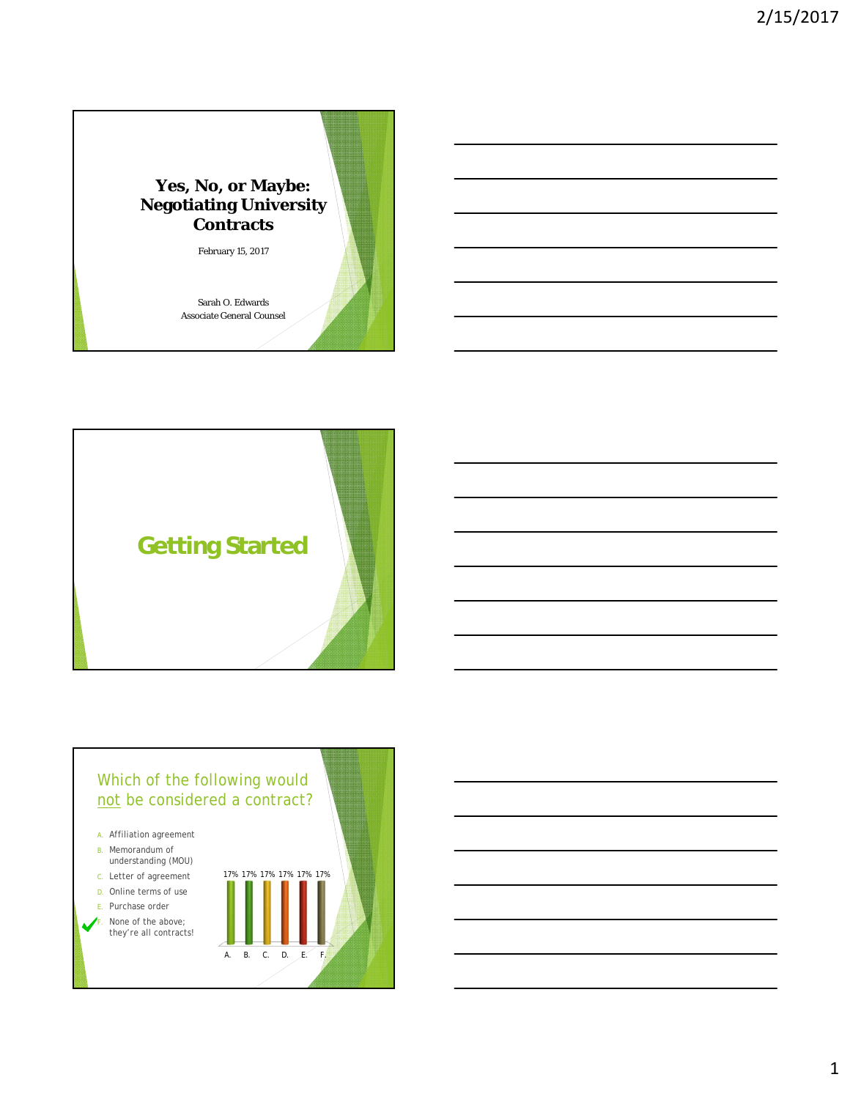



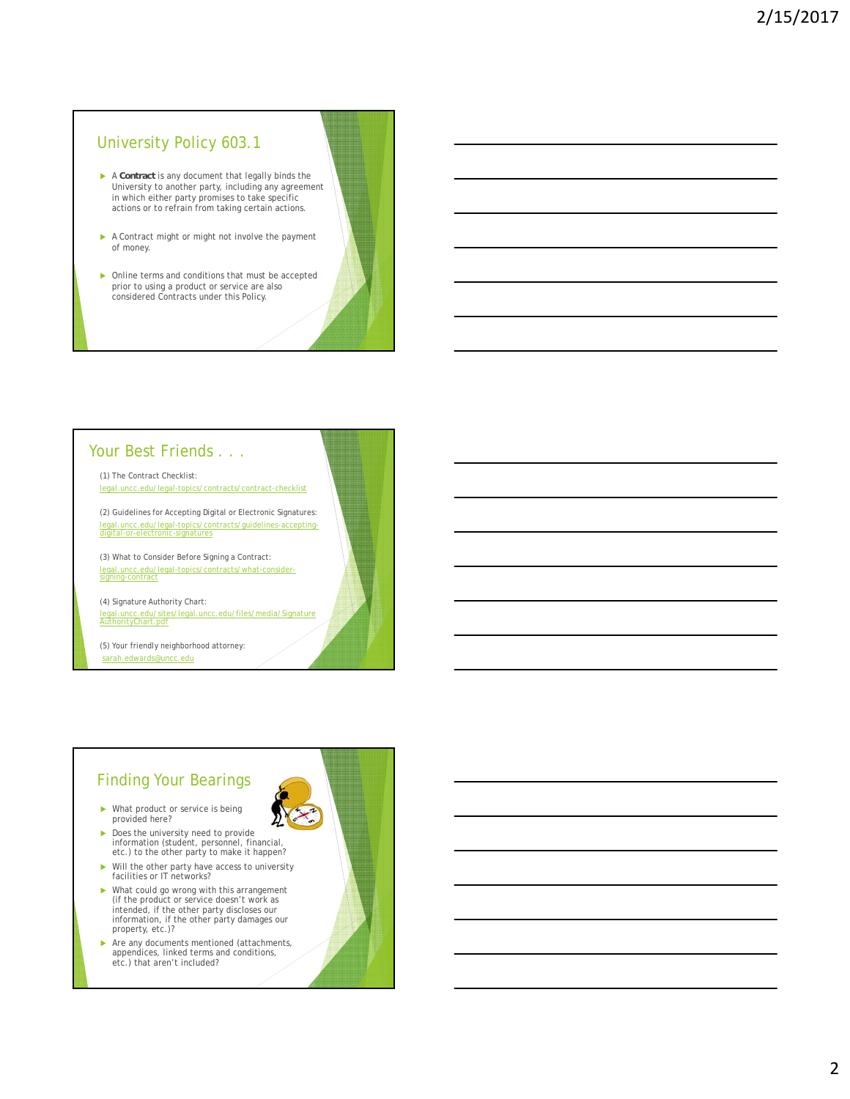#### University Policy 603.1

- A **Contract** is any document that legally binds the University to another party, including any agreement in which either party promises to take specific actions or to refrain from taking certain actions.
- A Contract might or might not involve the payment of money.
- ▶ Online terms and conditions that must be accepted prior to using a product or service are also considered Contracts under this Policy.

#### Your Best Friends . . .

(1) The Contract Checklist: legal.uncc.edu/legal-topics/contracts/contract-checklist

(2) Guidelines for Accepting Digital or Electronic Signatures: legal.uncc.edu/legal-topics/contracts/guidelines-acceptingdigital-or-electronic-signatures

(3) What to Consider Before Signing a Contract: legal.uncc.edu/legal-topics/contracts/what-consider-signing-contract

(4) Signature Authority Chart: ledu/files/media/Signature ب ساب ہے۔<br><u>.edu/sites/legal.uncc</u><br>hart.pdf

(5) Your friendly neighborhood attorney: sarah.edwards@uncc.edu

#### Finding Your Bearings

- What product or service is being provided here?
- Does the university need to provide information (student, personnel, financial, etc.) to the other party to make it happen?
- Will the other party have access to university facilities or IT networks?
- What could go wrong with this arrangement (if the product or service doesn't work as intended, if the other party discloses our information, if the other party damages our property, etc.)?
- Are any documents mentioned (attachments, appendices, linked terms and conditions, etc.) that aren't included?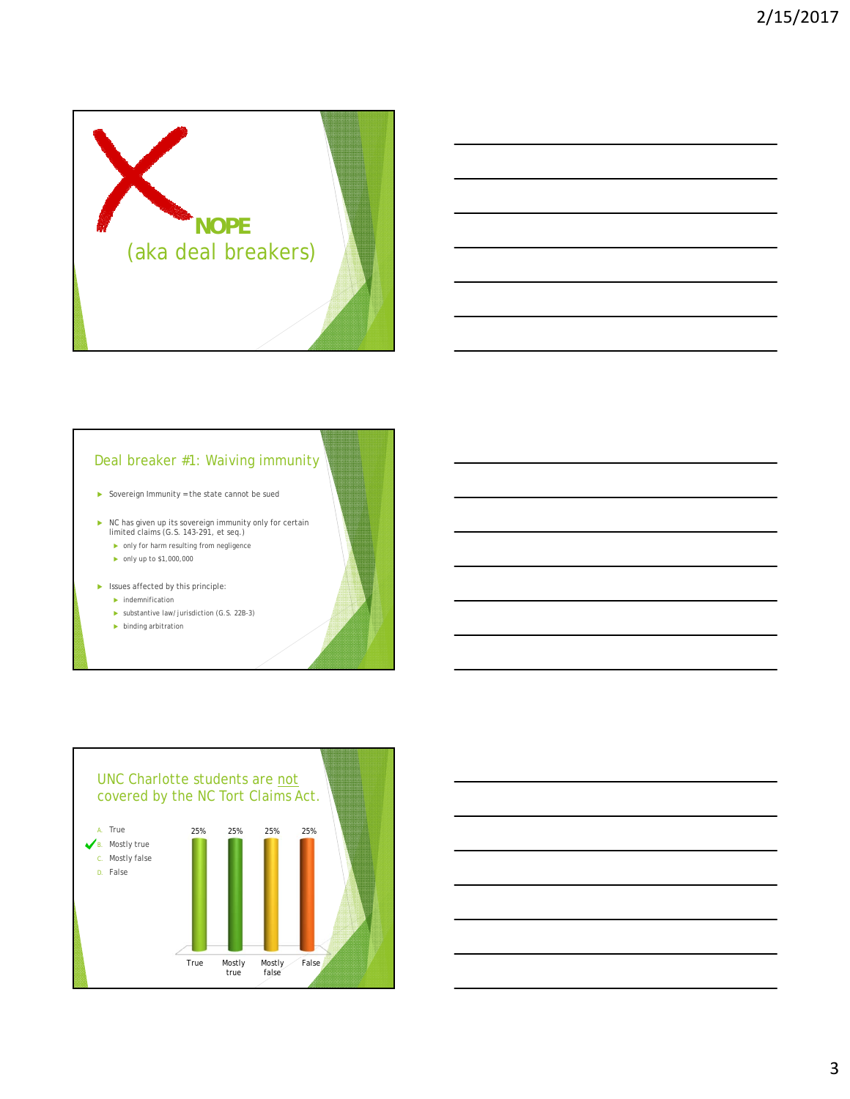

#### Deal breaker #1: Waiving immunity

 $\blacktriangleright$  Sovereign Immunity = the state cannot be sued

- NC has given up its sovereign immunity only for certain limited claims (G.S. 143-291, et seq.)
	- only for harm resulting from negligence
	- $\triangleright$  only up to \$1,000,000
- $\blacktriangleright$  Issues affected by this principle:
	- $\blacktriangleright$  indemnification
	- $\triangleright$  substantive law/jurisdiction (G.S. 22B-3)
	- $\blacktriangleright$  binding arbitration

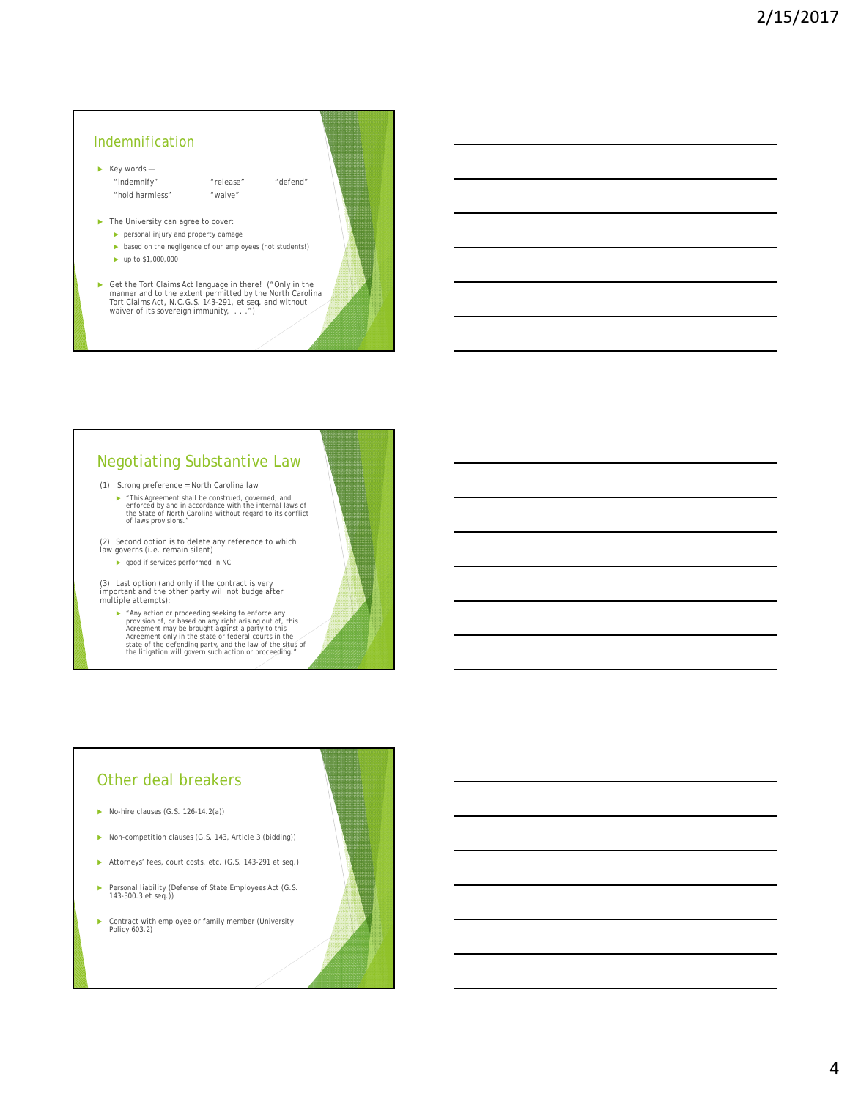# $\blacktriangleright$  Key words — "indemnify" "release" "defend" "hold harmless" "waive" **The University can agree to cover:**  personal injury and property damage  $\blacktriangleright$  based on the negligence of our employees (not students!) ► up to \$1,000,000 Get the Tort Claims Act language in there! ("Only in the manner and to the extent permitted by the North Carolina Tort Claims Act, N.C.G.S. 143-291, *et seq.* and without waiver of its sovereign immunity, . . . .") Indemnification

## Negotiating Substantive Law

(1) Strong preference = North Carolina law

"This Agreement shall be construed, governed, and enforced by and in accordance with the internal laws of the State of North Carolina without regard to its conflict of laws provisions."

(2) Second option is to delete any reference to which law governs (i.e. remain silent)

**D** good if services performed in NC

(3) Last option (and only if the contract is very important and the other party will not budge after multiple attempts):

• "Any action or proceeding seeking to enforce any<br>provision of, or based on any right arising out of, this<br>Agreement may be brought against a party to this<br>Agreement only in the state or federal courts in the<br>state of th

#### Other deal breakers

- $\triangleright$  No-hire clauses (G.S. 126-14.2(a))
- Non-competition clauses (G.S. 143, Article 3 (bidding))
- Attorneys' fees, court costs, etc. (G.S. 143-291 et seq.)
- ▶ Personal liability (Defense of State Employees Act (G.S. 143-300.3 et seq.))
- Contract with employee or family member (University Policy 603.2)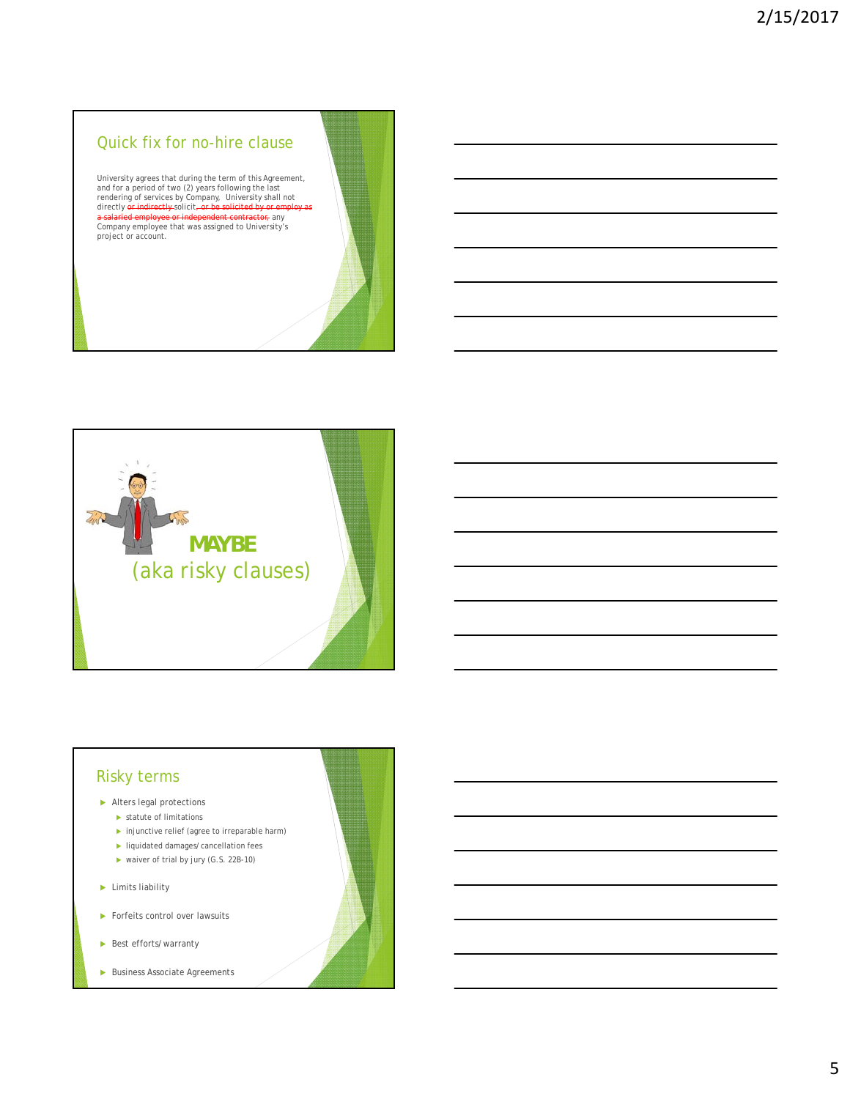#### Quick fix for no-hire clause

University agrees that during the term of this Agreement,<br>and for a period of two (2) years following the last<br>rendering of services by Company, University shall not<br>directly <del>or indirectly s</del>olicit<del>, or be solicited by or</del> a salaried employee or independent contractor, any<br>Company employee that was assigned to University's project or account.



#### Risky terms

#### Alters legal protections

- statute of limitations
- $\blacktriangleright$  injunctive relief (agree to irreparable harm) **I** liquidated damages/cancellation fees
- ▶ waiver of trial by jury (G.S. 22B-10)
- $\blacktriangleright$  Limits liability
- Forfeits control over lawsuits
- Best efforts/warranty
- Business Associate Agreements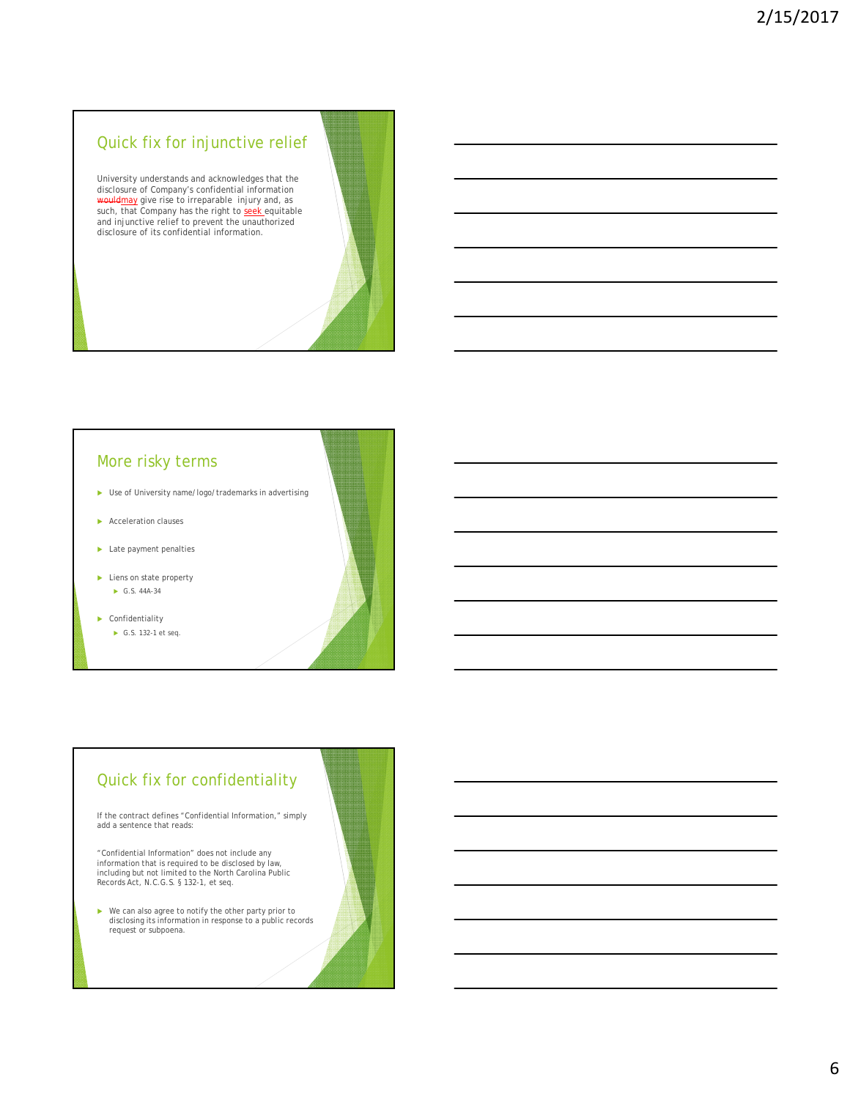#### Quick fix for injunctive relief

University understands and acknowledges that the disclosure of Company's confidential information wouldmay give rise to irreparable injury and, as<br>such, that Company has the right to <u>seek</u> equitable<br>and injunctive relief to prevent the unauthorized<br>disclosure of its confidential information.

#### More risky terms

- Use of University name/logo/trademarks in advertising
- ▶ Acceleration clauses
- **Late payment penalties**
- ▶ Liens on state property G.S. 44A-34
- ▶ Confidentiality ► G.S. 132-1 et seq.

#### Quick fix for confidentiality

If the contract defines "Confidential Information," simply add a sentence that reads:

"Confidential Information" does not include any information that is required to be disclosed by law, including but not limited to the North Carolina Public Records Act, N.C.G.S. § 132-1, et seq.

 We can also agree to notify the other party prior to disclosing its information in response to a public records request or subpoena.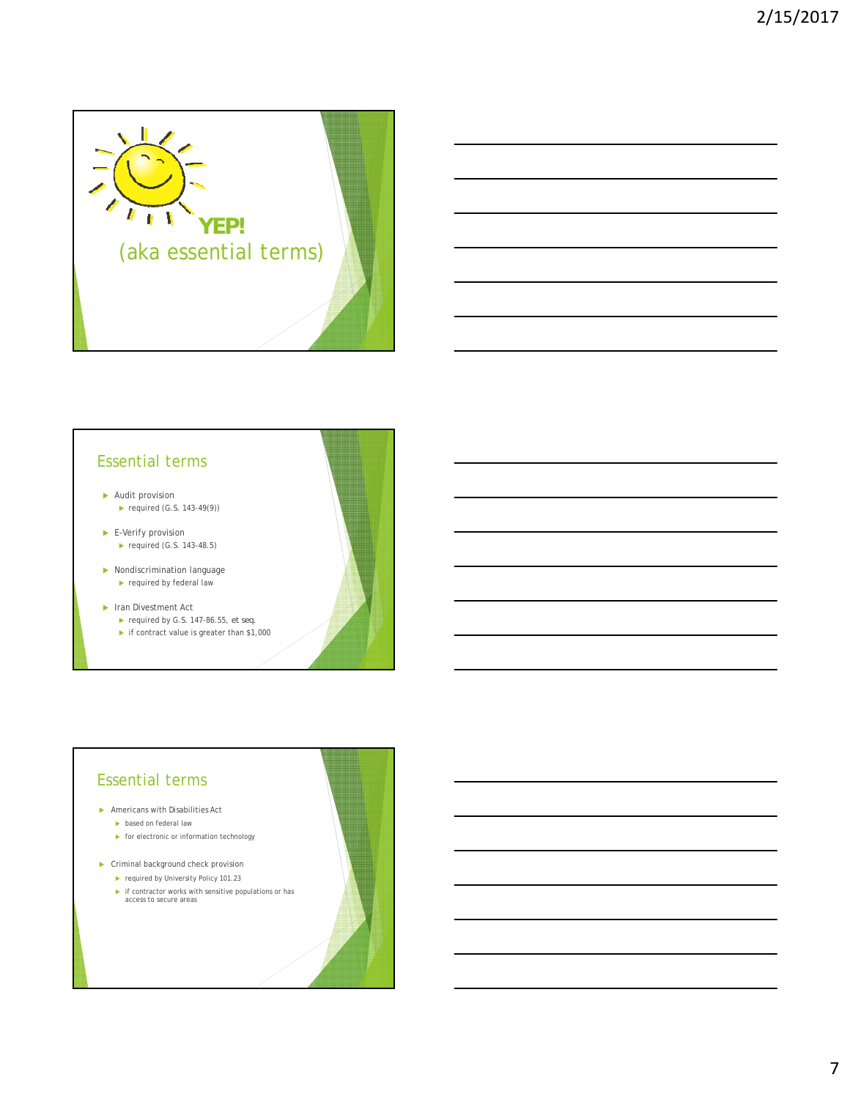

#### Essential terms

- Audit provision
	- ▶ required (G.S. 143-49(9))
- E-Verify provision  $\blacktriangleright$  required (G.S. 143-48.5)
- Nondiscrimination language required by federal law
- ▶ Iran Divestment Act
	- required by G.S. 147-86.55, *et seq.*
	- if contract value is greater than \$1,000

# Americans with Disabilities Act  $\blacktriangleright$  based on federal law  $\blacktriangleright$  for electronic or information technology ▶ Criminal background check provision **F** required by University Policy 101.23 if contractor works with sensitive populations or has access to secure areas Essential terms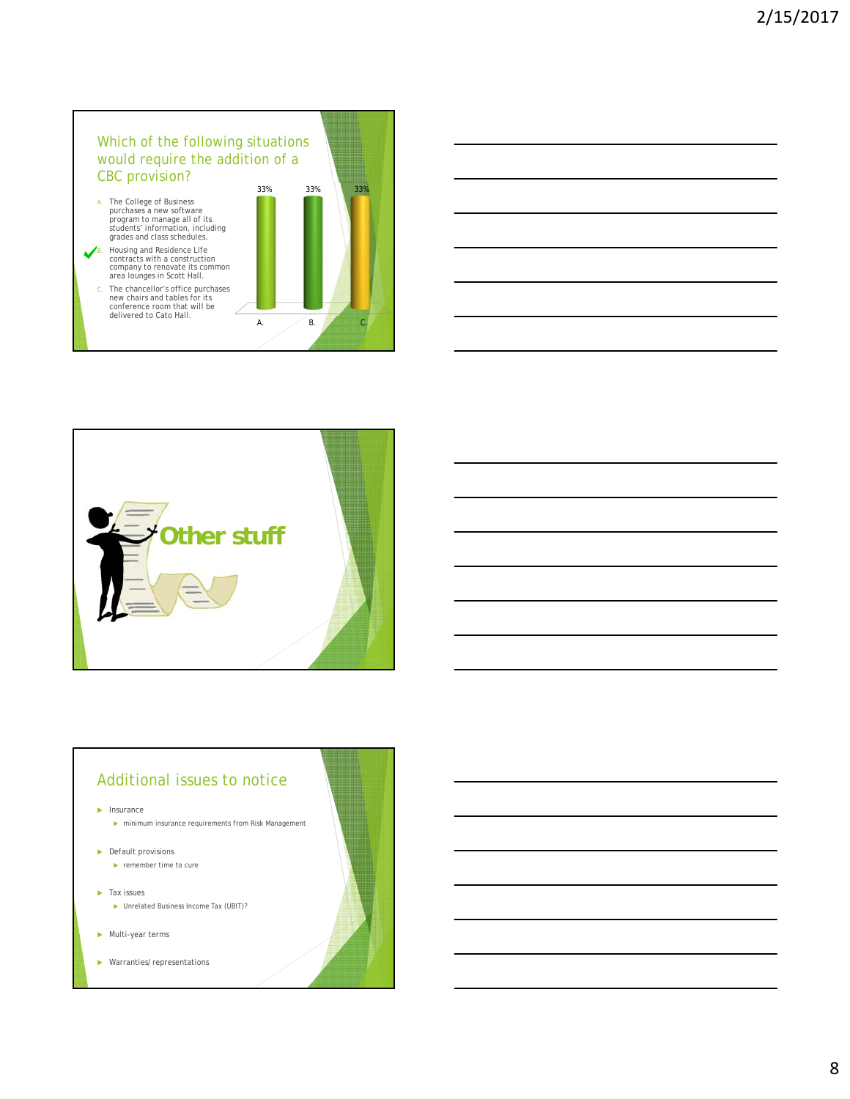## Which of the following situations would require the addition of a CBC provision?

- A. The College of Business<br>
purchases a new software<br>
program to manage all of its<br>
students' information, including<br>
grades and class schedules.
- B. Housing and Residence Life contracts with a construction company to renovate its common area lounges in Scott Hall.
- C. The chancellor's office purchases new chairs and tables for its conference room that will be delivered to Cato Hall.





#### Additional issues to notice

 $\blacktriangleright$  Insurance

 $\blacktriangleright$ minimum insurance requirements from Risk Management

**Default provisions**  $\blacktriangleright$  remember time to cure

**Tax issues** 

- ▶ Unrelated Business Income Tax (UBIT)?
- Multi-year terms
- Warranties/representations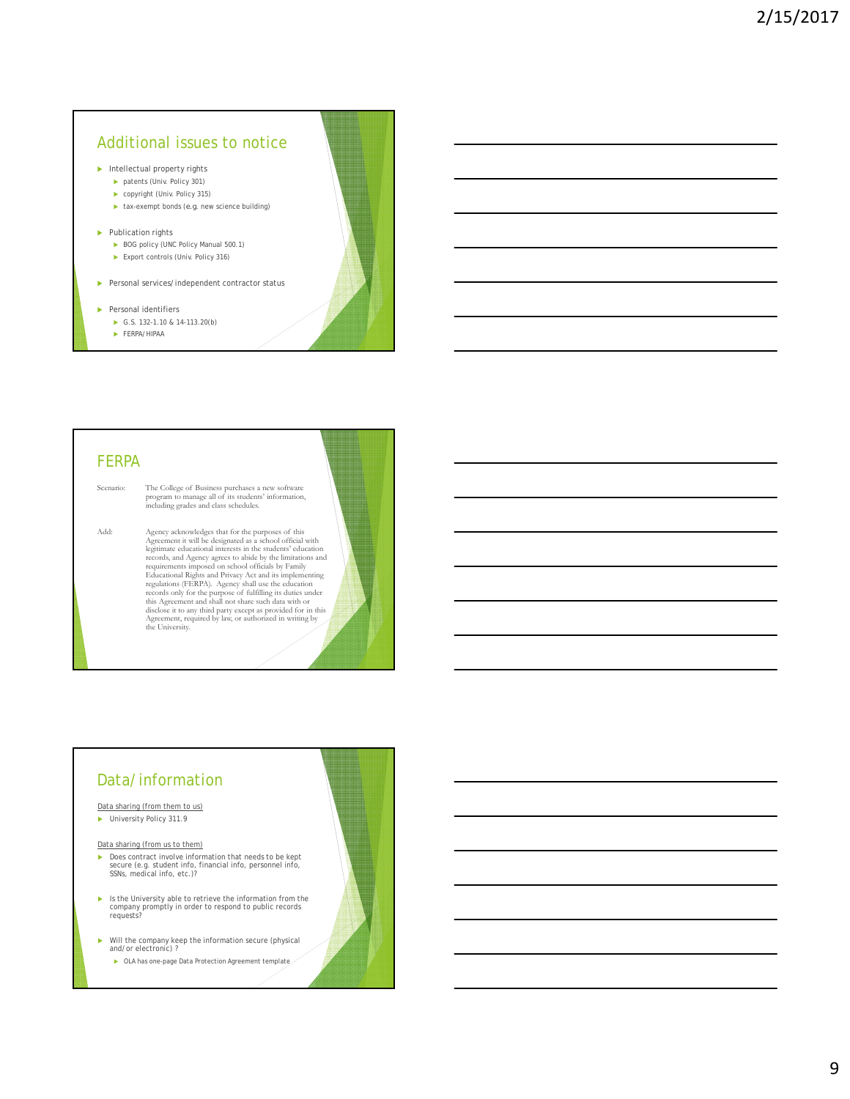## Additional issues to notice

- $\blacktriangleright$  Intellectual property rights
	- patents (Univ. Policy 301)
	- ▶ copyright (Univ. Policy 315)
	- $\blacktriangleright$  tax-exempt bonds (*e.g.* new science building)
- $\blacktriangleright$  Publication rights
	- BOG policy (UNC Policy Manual 500.1)
	- ▶ Export controls (Univ. Policy 316)
- **Personal services/independent contractor status**
- $\blacktriangleright$  Personal identifiers
	- G.S. 132-1.10 & 14-113.20(b)
	- FERPA/HIPAA

#### FERPA

Scenario: The College of Business purchases a new software program to manage all of its students' information, including grades and class schedules.

Add: Agency acknowledges that for the purposes of this<br>Agencement it will be designated as a school official with<br>legitimate educational interests in the students' education<br>records, and Agency agrees to abide by the limit disclose it to any third party except as provided for in this Agreement, required by law, or authorized in writing by the University.

# Data/information

Data sharing (from them to us)

**Dimensity Policy 311.9** 

Data sharing (from us to them)

- ▶ Does contract involve information that needs to be kept secure (e.g. student info, financial info, personnel info, SSNs, medical info, etc.)?
- $\blacktriangleright$  Is the University able to retrieve the information from the company promptly in order to respond to public records requests?
- Will the company keep the information secure (physical and/or electronic) ?
	- OLA has one-page Data Protection Agreement template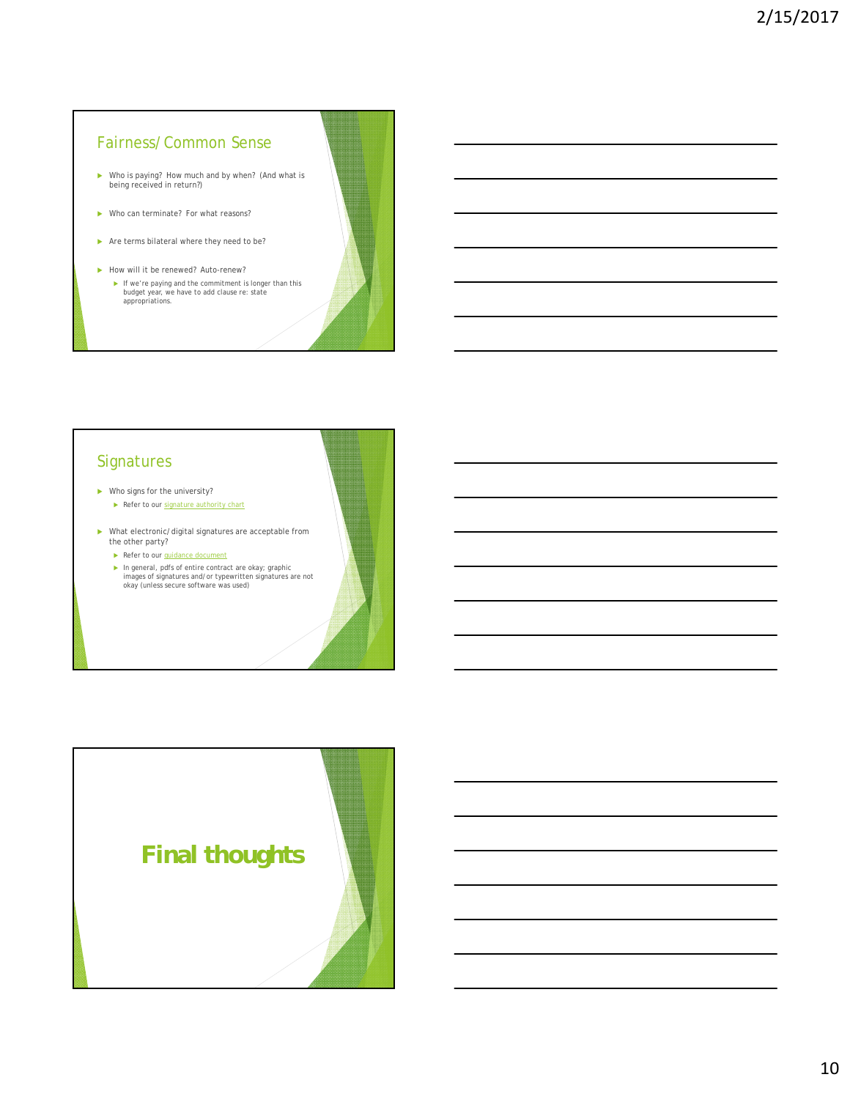#### Fairness/Common Sense

- Who is paying? How much and by when? (And what is being received in return?)
- ▶ Who can terminate? For what reasons?
- Are terms bilateral where they need to be?
- How will it be renewed? Auto-renew?
	- If we're paying and the commitment is longer than this budget year, we have to add clause re: state appropriations.

## **Signatures**

- Who signs for the university?
	- Refer to our signature authority chart
- What electronic/digital signatures are acceptable from the other party?
	- Refer to our guidance document
	- In general, pdfs of entire contract are okay; graphic images of signatures and/or typewritten signatures are not okay (unless secure software was used)